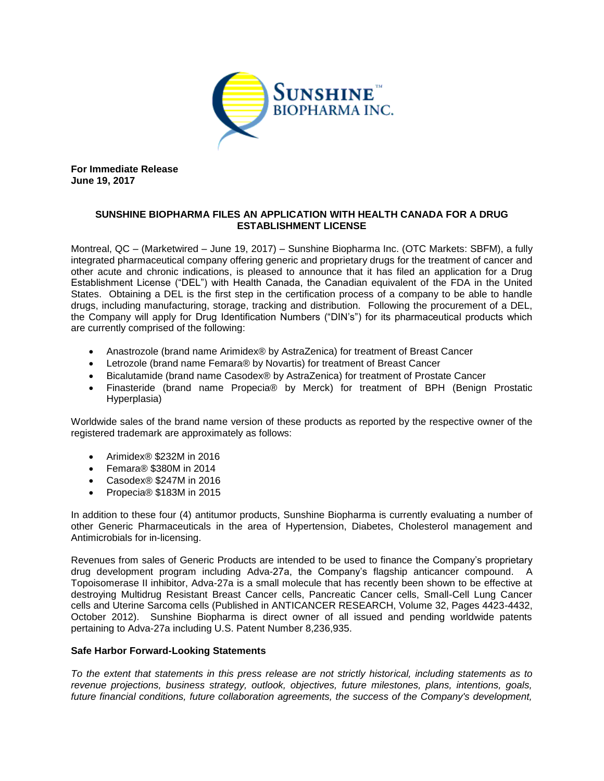

**For Immediate Release June 19, 2017**

## **SUNSHINE BIOPHARMA FILES AN APPLICATION WITH HEALTH CANADA FOR A DRUG ESTABLISHMENT LICENSE**

Montreal, QC – (Marketwired – June 19, 2017) – Sunshine Biopharma Inc. (OTC Markets: SBFM), a fully integrated pharmaceutical company offering generic and proprietary drugs for the treatment of cancer and other acute and chronic indications, is pleased to announce that it has filed an application for a Drug Establishment License ("DEL") with Health Canada, the Canadian equivalent of the FDA in the United States. Obtaining a DEL is the first step in the certification process of a company to be able to handle drugs, including manufacturing, storage, tracking and distribution. Following the procurement of a DEL, the Company will apply for Drug Identification Numbers ("DIN's") for its pharmaceutical products which are currently comprised of the following:

- Anastrozole (brand name Arimidex® by AstraZenica) for treatment of Breast Cancer
- Letrozole (brand name Femara® by Novartis) for treatment of Breast Cancer
- Bicalutamide (brand name Casodex® by AstraZenica) for treatment of Prostate Cancer
- Finasteride (brand name Propecia® by Merck) for treatment of BPH (Benign Prostatic Hyperplasia)

Worldwide sales of the brand name version of these products as reported by the respective owner of the registered trademark are approximately as follows:

- Arimidex® \$232M in 2016
- Femara® \$380M in 2014
- Casodex® \$247M in 2016
- Propecia® \$183M in 2015

In addition to these four (4) antitumor products, Sunshine Biopharma is currently evaluating a number of other Generic Pharmaceuticals in the area of Hypertension, Diabetes, Cholesterol management and Antimicrobials for in-licensing.

Revenues from sales of Generic Products are intended to be used to finance the Company's proprietary drug development program including Adva-27a, the Company's flagship anticancer compound. A Topoisomerase II inhibitor, Adva-27a is a small molecule that has recently been shown to be effective at destroying Multidrug Resistant Breast Cancer cells, Pancreatic Cancer cells, Small-Cell Lung Cancer cells and Uterine Sarcoma cells (Published in ANTICANCER RESEARCH, Volume 32, Pages 4423-4432, October 2012). Sunshine Biopharma is direct owner of all issued and pending worldwide patents pertaining to Adva-27a including U.S. Patent Number 8,236,935.

## **Safe Harbor Forward-Looking Statements**

*To the extent that statements in this press release are not strictly historical, including statements as to revenue projections, business strategy, outlook, objectives, future milestones, plans, intentions, goals, future financial conditions, future collaboration agreements, the success of the Company's development,*